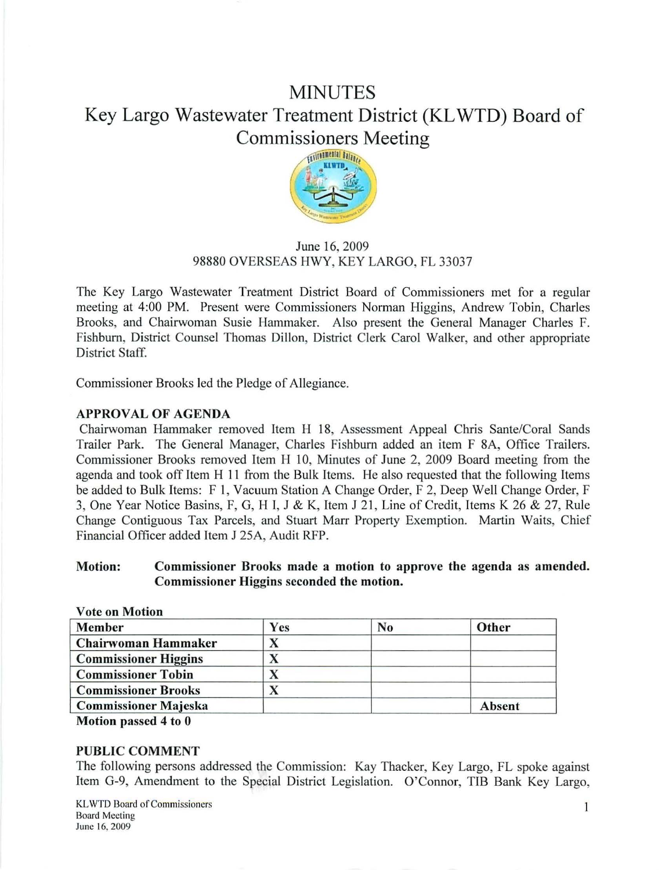# MINUTES Key Largo Wastewater Treatment District (KL WTD) Board of Commissioners Meeting



# June 16, 2009 98880 OVERSEAS HWY, KEY LARGO, FL 33037

The Key Largo Wastewater Treatment District Board of Commissioners met for a regular meeting at 4:00 PM. Present were Commissioners Norman Higgins, Andrew Tobin, Charles Brooks, and Chairwoman Susie Hammaker. Also present the General Manager Charles F. Fishburn, District Counsel Thomas Dillon, District Clerk Carol Walker, and other appropriate District Staff.

Commissioner Brooks led the Pledge of Allegiance.

# APPROVAL OF AGENDA

Chairwoman Hammaker removed Item H 18, Assessment Appeal Chris Sante/Coral Sands Trailer Park. The General Manager, Charles Fishburn added an item F 8A, Office Trailers. Commissioner Brooks removed Item H 10, Minutes of June 2, 2009 Board meeting from the agenda and took off Item H 11 from the Bulk Items. He also requested that the following Items be added to Bulk Items: F 1, Vacuum Station A Change Order, F 2, Deep Well Change Order, F 3, One Year Notice Basins, F, G, H I, J & K, Item J 21, Line of Credit, Items K 26 & 27, Rule Change Contiguous Tax Parcels, and Stuart Marr Property Exemption. Martin Waits, Chief Financial Officer added Item J 25A, Audit RFP.

## Motion: Commissioner Brooks made a motion to approve the agenda as amended. Commissioner Higgins seconded the motion.

|   | No  | Other  |
|---|-----|--------|
|   |     |        |
|   |     |        |
|   |     |        |
| Δ |     |        |
|   |     | Absent |
|   | Yes |        |

Motion passed 4 to 0

#### PUBLIC COMMENT

The following persons addressed the Commission: Kay Thacker, Key Largo, FL spoke against Item G-9, Amendment to the Special District Legislation. O'Connor, TIB Bank Key Largo,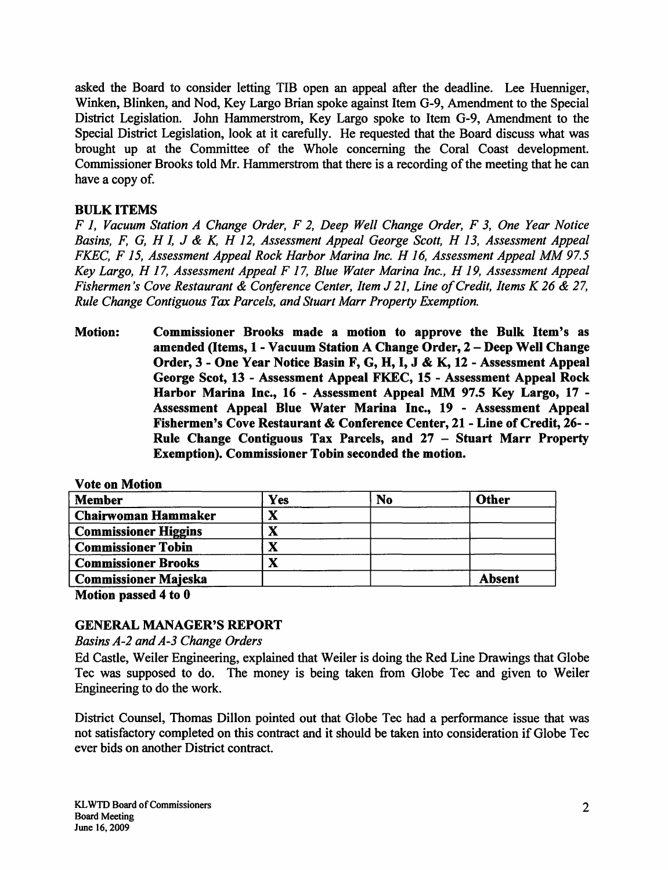asked the Board to consider letting TIB open an appeal after the deadline. Lee Huenniger, Winken, Blinken, and Nod, Key Largo Brian spoke against Item G-9, Amendment to the Special District Legislation. John Hammerstrom, Key Largo spoke to Item G-9, Amendment to the Special District Legislation, look at it carefully. He requested that the Board discuss what was brought up at the Committee of the Whole concerning the Coral Coast development. Commissioner Brooks told Mr. Hammerstrom that there is a recording of the meeting that he can have a copy of.

# BULK ITEMS

*F 1, Vacuum Station A Change Order, F 2, Deep Well Change Order, F 3, One Year Notice Basins, F, G, H I, J & K, H 12, Assessment Appeal George Scott, H 13, Assessment Appeal FKEC, F 15, Assessment Appeal Rock Harbor Marina Inc. H 16, Assessment Appeal MM 97.5 Key Largo, H 17, Assessment Appeal F 17, Blue Water Marina Inc., H 19, Assessment Appeal Fishermen's Cove Restaurant* & *Conference Center, Item* J *21, Line of Credit, Items K 26* & *27, Rule Change Contiguous Tax Parcels, and Stuart Marr Property Exemption.* 

Motion: Commissioner Brooks made a motion to approve the Bulk Item's as amended (Items, 1 - Vacuum Station A Change Order, 2 - Deep Well Change Order, 3 - One Year Notice Basin F, G, H, I, J & K, 12 - Assessment Appeal George Scot, 13 - Assessment Appeal FKEC, 15 - Assessment Appeal Rock Harbor Marina Inc., 16 - Assessment Appeal MM 97.5 Key Largo, 17 - Assessment Appeal Blue Water Marina Inc., 19 - Assessment Appeal Fishermen's Cove Restaurant & Conference Center, 21 - Line of Credit, 26- - Rule Change Contiguous Tax Parcels, and 27 - Stuart Marr Property Exemption). Commissioner Tobin seconded the motion.

| <b>Member</b>               | Yes | No | <b>Other</b>  |
|-----------------------------|-----|----|---------------|
| <b>Chairwoman Hammaker</b>  | Λ   |    |               |
| <b>Commissioner Higgins</b> |     |    |               |
| <b>Commissioner Tobin</b>   | Δ   |    |               |
| <b>Commissioner Brooks</b>  |     |    |               |
| <b>Commissioner Majeska</b> |     |    | <b>Absent</b> |

Vote on Motion

Motion passed 4 to 0

# GENERAL MANAGER'S REPORT

*Basins A-2 and A-3 Change Orders* 

Ed Castle, Weiler Engineering, explained that Weiler is doing the Red Line Drawings that Globe Tee was supposed to do. The money is being taken from Globe Tee and given to Weiler Engineering to do the work.

District Counsel, Thomas Dillon pointed out that Globe Tee had a performance issue that was not satisfactory completed on this contract and it should be taken into consideration if Globe Tee ever bids on another District contract.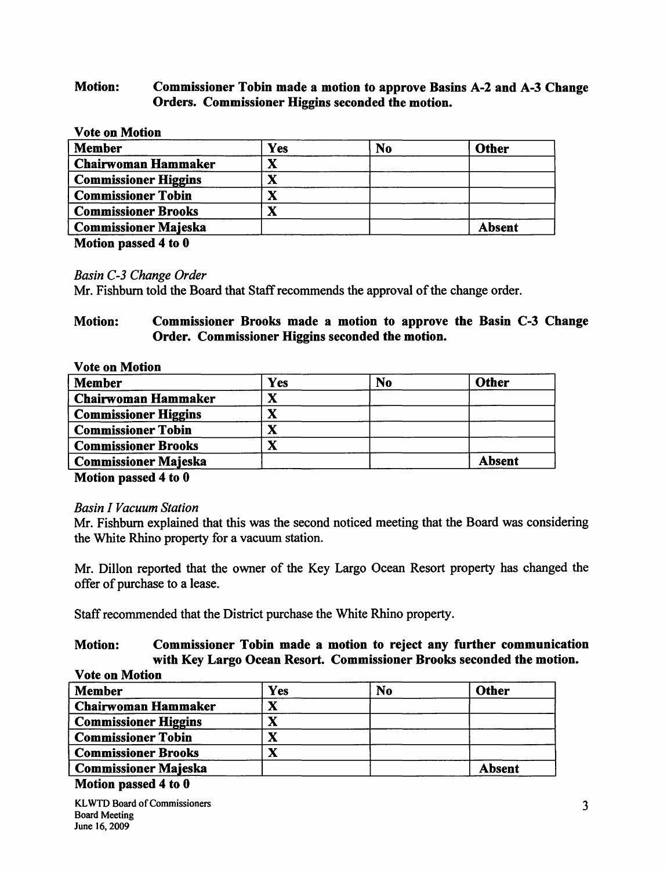# Motion: Commissioner Tobin made a motion to approve Basins A-2 and A-3 Change Orders. Commissioner Higgins seconded the motion.

## Vote on Motion

| <b>Member</b>               | Yes | N <sub>0</sub> | Other  |
|-----------------------------|-----|----------------|--------|
| <b>Chairwoman Hammaker</b>  |     |                |        |
| <b>Commissioner Higgins</b> | л   |                |        |
| <b>Commissioner Tobin</b>   |     |                |        |
| <b>Commissioner Brooks</b>  |     |                |        |
| <b>Commissioner Majeska</b> |     |                | Absent |

Motion passed 4 to 0

*Basin C-3 Change Order* 

Mr. Fishburn told the Board that Staff recommends the approval of the change order.

# Motion: Commissioner Brooks made a motion to approve the Basin C-3 Change Order. Commissioner Higgins seconded the motion.

| <b>Vote on Motion</b>       |     |                |               |
|-----------------------------|-----|----------------|---------------|
| <b>Member</b>               | Yes | N <sub>0</sub> | <b>Other</b>  |
| Chairwoman Hammaker         |     |                |               |
| <b>Commissioner Higgins</b> |     |                |               |
| <b>Commissioner Tobin</b>   |     |                |               |
| <b>Commissioner Brooks</b>  |     |                |               |
| <b>Commissioner Majeska</b> |     |                | <b>Absent</b> |
| --<br>.                     |     |                |               |

Motion passed 4 to 0

# *Basin I Vacuum Station*

Mr. Fishburn explained that this was the second noticed meeting that the Board was considering the White Rhino property for a vacuum station.

Mr. Dillon reported that the owner of the Key Largo Ocean Resort property has changed the offer of purchase to a lease.

Staff recommended that the District purchase the White Rhino property.

# Motion: Commissioner Tobin made a motion to reject any further communication with Key Largo Ocean Resort. Commissioner Brooks seconded the motion.

| <b>Vote on Motion</b>       |     |    |               |  |
|-----------------------------|-----|----|---------------|--|
| <b>Member</b>               | Yes | No | <b>Other</b>  |  |
| <b>Chairwoman Hammaker</b>  |     |    |               |  |
| <b>Commissioner Higgins</b> | v   |    |               |  |
| <b>Commissioner Tobin</b>   |     |    |               |  |
| <b>Commissioner Brooks</b>  |     |    |               |  |
| <b>Commissioner Majeska</b> |     |    | <b>Absent</b> |  |

#### Motion passed 4 to 0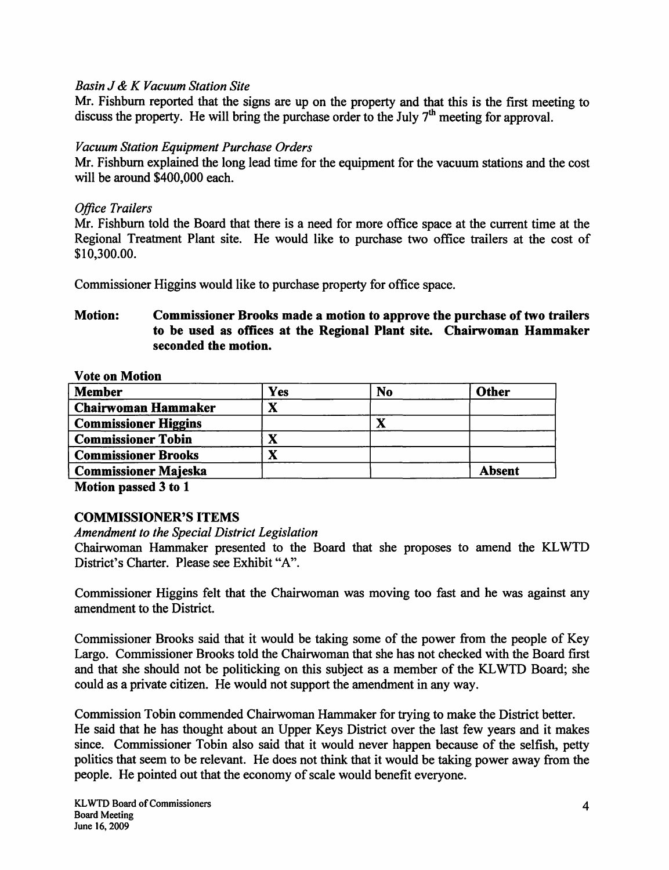# *Basin* J & *K Vacuum Station Site*

Mr. Fishburn reported that the signs are up on the property and that this is the first meeting to discuss the property. He will bring the purchase order to the July  $7<sup>th</sup>$  meeting for approval.

## *Vacuum Station Equipment Purchase Orders*

Mr. Fishburn explained the long lead time for the equipment for the vacuum stations and the cost will be around \$400,000 each.

## *Office Trailers*

Mr. Fishburn told the Board that there is a need for more office space at the current time at the Regional Treatment Plant site. He would like to purchase two office trailers at the cost of \$I 0,300.00.

Commissioner Higgins would like to purchase property for office space.

# Motion: Commissioner Brooks made a motion to approve the purchase of two trailers to be used as offices at the Regional Plant site. Chairwoman Hammaker seconded the motion.

Vote on Motion

| <b>Member</b>               | Yes | N <sub>o</sub> | <b>Other</b>  |
|-----------------------------|-----|----------------|---------------|
| <b>Chairwoman Hammaker</b>  |     |                |               |
| <b>Commissioner Higgins</b> |     | л              |               |
| <b>Commissioner Tobin</b>   |     |                |               |
| <b>Commissioner Brooks</b>  |     |                |               |
| <b>Commissioner Majeska</b> |     |                | <b>Absent</b> |

Motion passed 3 to 1

# COMMISSIONER'S ITEMS

*Amendment to the Special District Legislation* 

Chairwoman Hammaker presented to the Board that she proposes to amend the KL WTD District's Charter. Please see Exhibit "A".

Commissioner Higgins felt that the Chairwoman was moving too fast and he was against any amendment to the District.

Commissioner Brooks said that it would be taking some of the power from the people of Key Largo. Commissioner Brooks told the Chairwoman that she has not checked with the Board first and that she should not be politicking on this subject as a member of the KL WTD Board; she could as a private citizen. He would not support the amendment in any way.

Commission Tobin commended Chairwoman Hammaker for trying to make the District better. He said that he has thought about an Upper Keys District over the last few years and it makes since. Commissioner Tobin also said that it would never happen because of the selfish, petty politics that seem to be relevant. He does not think that it would be taking power away from the people. He pointed out that the economy of scale would benefit everyone.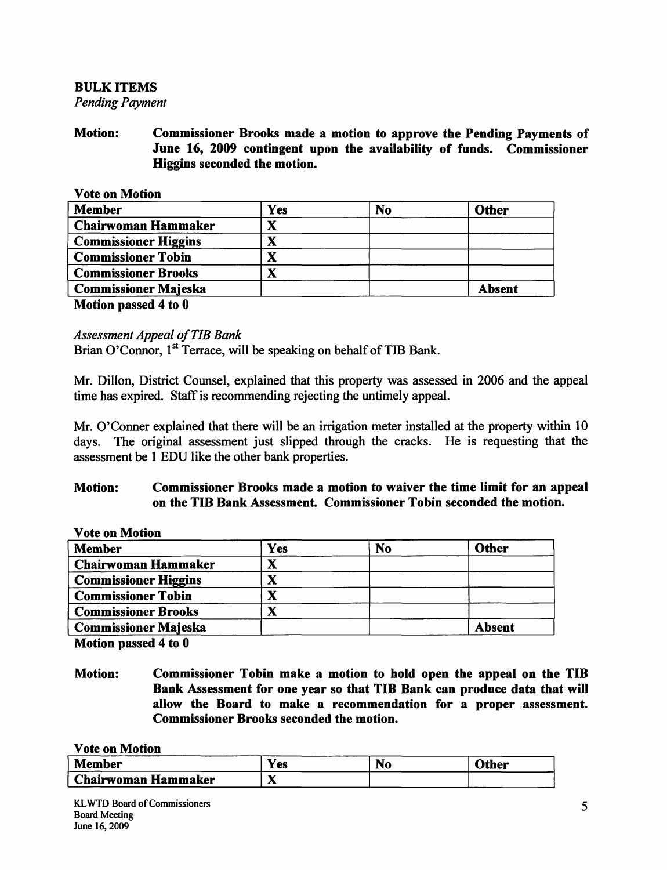#### BULK ITEMS *Pending Payment*

Motion: Commissioner Brooks made a motion to approve the Pending Payments of June 16, 2009 contingent upon the availability of funds. Commissioner Higgins seconded the motion.

|  | <b>Vote on Motion</b> |  |
|--|-----------------------|--|
|  |                       |  |

| <b>Member</b>               | Yes | N <sub>o</sub> | <b>Other</b>  |
|-----------------------------|-----|----------------|---------------|
| <b>Chairwoman Hammaker</b>  |     |                |               |
| <b>Commissioner Higgins</b> | ́́  |                |               |
| <b>Commissioner Tobin</b>   | Δ   |                |               |
| <b>Commissioner Brooks</b>  | л   |                |               |
| <b>Commissioner Majeska</b> |     |                | <b>Absent</b> |
| .                           |     |                |               |

Motion passed 4 to 0

## *Assessment Appeal of TIB Bank*

Brian O'Connor, 1<sup>st</sup> Terrace, will be speaking on behalf of TIB Bank.

Mr. Dillon, District Counsel, explained that this property was assessed in 2006 and the appeal time has expired. Staff is recommending rejecting the untimely appeal.

Mr. O'Conner explained that there will be an irrigation meter installed at the property within 10 days. The original assessment just slipped through the cracks. He is requesting that the assessment be 1 EDU like the other bank properties.

## Motion: Commissioner Brooks made a motion to waiver the time limit for an appeal on the TIB Bank Assessment. Commissioner Tobin seconded the motion.

Vote on Motion

| <b>Member</b>               | Yes | N <sub>o</sub> | <b>Other</b>  |
|-----------------------------|-----|----------------|---------------|
| <b>Chairwoman Hammaker</b>  |     |                |               |
| <b>Commissioner Higgins</b> |     |                |               |
| <b>Commissioner Tobin</b>   |     |                |               |
| <b>Commissioner Brooks</b>  |     |                |               |
| <b>Commissioner Majeska</b> |     |                | <b>Absent</b> |

Motion passed 4 to 0

Motion: Commissioner Tobin make a motion to hold open the appeal on the TIB Bank Assessment for one year so that TIB Bank can produce data that will allow the Board to make a recommendation for a proper assessment. Commissioner Brooks seconded the motion.

Vote on Motion

| <b>Member</b>         | Y es         | IVU | Other |
|-----------------------|--------------|-----|-------|
| . Chairwoman Hammaker | $-$<br>- - - |     |       |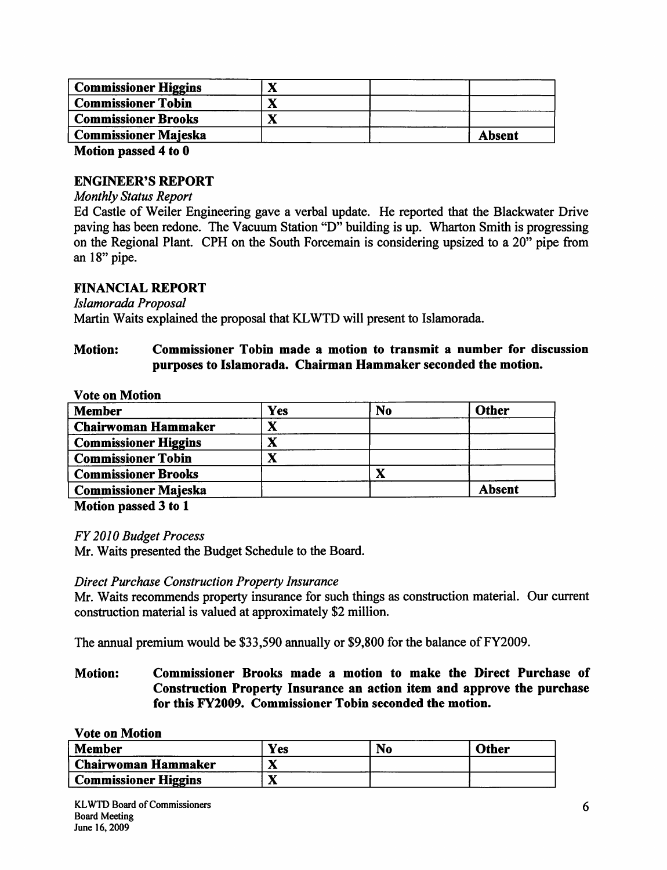| <b>Commissioner Higgins</b> |        |  |
|-----------------------------|--------|--|
| <b>Commissioner Tobin</b>   |        |  |
| <b>Commissioner Brooks</b>  |        |  |
| <b>Commissioner Majeska</b> | Absent |  |
| .                           |        |  |

Motion passed 4 to 0

#### ENGINEER'S REPORT

#### *Monthly Status Report*

Ed Castle of Weiler Engineering gave a verbal update. He reported that the Blackwater Drive paving has been redone. The Vacuum Station "D" building is up. Wharton Smith is progressing on the Regional Plant. CPH on the South Forcemain is considering upsized to a 20" pipe from an 18" pipe.

## FINANCIAL REPORT

*Js/amorada Proposal* 

Martin Waits explained the proposal that KL WTD will present to Islamorada.

# Motion: Commissioner Tobin made a motion to transmit a number for discussion purposes to Islamorada. Chairman Hammaker seconded the motion.

#### Vote on Motion

| <b>Member</b>               | Yes | No       | <b>Other</b> |
|-----------------------------|-----|----------|--------------|
| <b>Chairwoman Hammaker</b>  | ́́  |          |              |
| <b>Commissioner Higgins</b> |     |          |              |
| <b>Commissioner Tobin</b>   |     |          |              |
| <b>Commissioner Brooks</b>  |     | $\bf{X}$ |              |
| <b>Commissioner Majeska</b> |     |          | Absent       |

Motion passed 3 to 1

*FY 2010 Budget Process* 

Mr. Waits presented the Budget Schedule to the Board.

#### *Direct Purchase Construction Property Insurance*

Mr. Waits recommends property insurance for such things as construction material. Our current construction material is valued at approximately \$2 million.

The annual premium would be \$33,590 annually or \$9,800 for the balance of FY2009.

# Motion: Commissioner Brooks made a motion to make the Direct Purchase of Construction Property Insurance an action item and approve the purchase for this FY2009. Commissioner Tobin seconded the motion.

#### Vote on Motion

| <b>Member</b>               | Yes | N <sub>o</sub> | <b>Other</b> |
|-----------------------------|-----|----------------|--------------|
| <b>Chairwoman Hammaker</b>  | л   |                |              |
| <b>Commissioner Higgins</b> |     |                |              |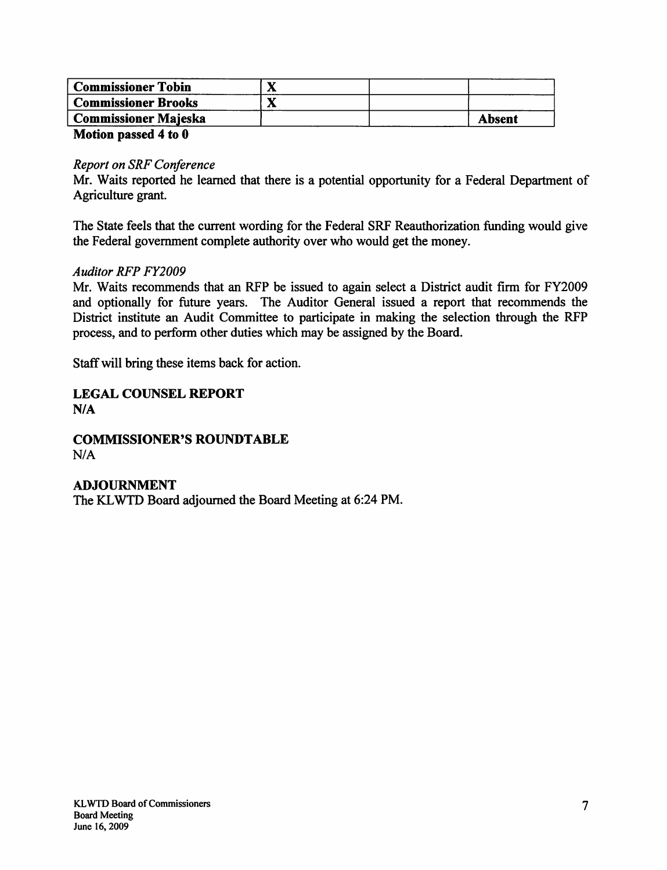| <b>Commissioner Brooks</b>  |               |
|-----------------------------|---------------|
| <b>Commissioner Majeska</b> | <b>Absent</b> |

#### Motion passed 4 to 0

#### *Report on SRF Conference*

Mr. Waits reported he learned that there is a potential opportunity for a Federal Department of Agriculture grant.

The State feels that the current wording for the Federal SRF Reauthorization funding would give the Federal government complete authority over who would get the money.

#### *Auditor RFP FY2009*

Mr. Waits recommends that an RFP be issued to again select a District audit firm for FY2009 and optionally for future years. The Auditor General issued a report that recommends the District institute an Audit Committee to participate in making the selection through the RFP process, and to perform other duties which may be assigned by the Board.

Staff will bring these items back for action.

# LEGAL COUNSEL REPORT NIA

#### **COMMISSIONER'S ROUNDTABLE**  $N/A$

# ADJOURNMENT The KL WTD Board adjourned the Board Meeting at 6:24 PM.